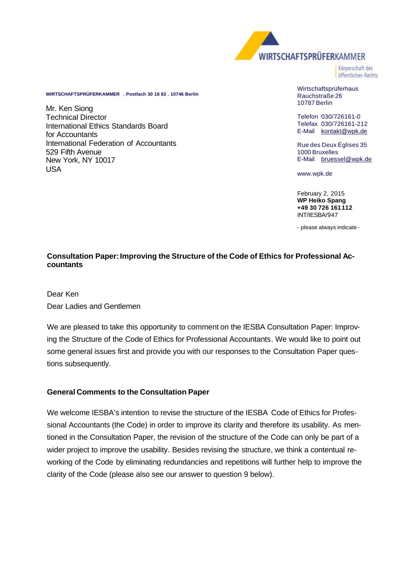

Körnerschaft des öffentlichen Rechts

**WIRTSCHAFTSPRÜFERKAMMER . Postfach 30 18 82 . 10746 Berlin**

Mr. Ken Siong Technical Director International Ethics Standards Board for Accountants International Federation of Accountants 529 Fifth Avenue New York, NY 10017 USA

Wirtschaftsprüferhaus Rauchstraße 26 10787 Berlin

Telefon 030/726161-0 Telefax 030/726161-212 E-Mail kontakt@wpk.de

Rue des Deux Églises 35 1000 Bruxelles E-Mail bruessel@wpk.de

www.wpk.de

February 2, 2015 **WP Heiko Spang +49 30 726 161 112** INT/IESBA/947

- please always indicate -

## **Consultation Paper: Improving the Structure of the Code of Ethics for Professional Accountants**

Dear Ken Dear Ladies and Gentlemen

We are pleased to take this opportunity to comment on the IESBA Consultation Paper: Improving the Structure of the Code of Ethics for Professional Accountants. We would like to point out some general issues first and provide you with our responses to the Consultation Paper questions subsequently.

## **General Comments to the Consultation Paper**

We welcome IESBA's intention to revise the structure of the IESBA Code of Ethics for Professional Accountants (the Code) in order to improve its clarity and therefore its usability. As mentioned in the Consultation Paper, the revision of the structure of the Code can only be part of a wider project to improve the usability. Besides revising the structure, we think a contentual reworking of the Code by eliminating redundancies and repetitions will further help to improve the clarity of the Code (please also see our answer to question 9 below).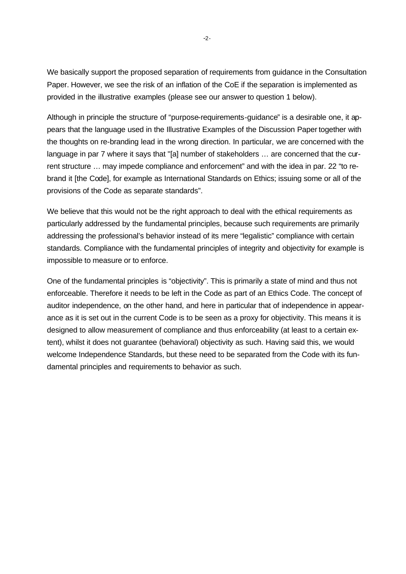We basically support the proposed separation of requirements from guidance in the Consultation Paper. However, we see the risk of an inflation of the CoE if the separation is implemented as provided in the illustrative examples (please see our answer to question 1 below).

Although in principle the structure of "purpose-requirements-guidance" is a desirable one, it appears that the language used in the Illustrative Examples of the Discussion Paper together with the thoughts on re-branding lead in the wrong direction. In particular, we are concerned with the language in par 7 where it says that "[a] number of stakeholders … are concerned that the current structure … may impede compliance and enforcement" and with the idea in par. 22 "to rebrand it [the Code], for example as International Standards on Ethics; issuing some or all of the provisions of the Code as separate standards".

We believe that this would not be the right approach to deal with the ethical requirements as particularly addressed by the fundamental principles, because such requirements are primarily addressing the professional's behavior instead of its mere "legalistic" compliance with certain standards. Compliance with the fundamental principles of integrity and objectivity for example is impossible to measure or to enforce.

One of the fundamental principles is "objectivity". This is primarily a state of mind and thus not enforceable. Therefore it needs to be left in the Code as part of an Ethics Code. The concept of auditor independence, on the other hand, and here in particular that of independence in appearance as it is set out in the current Code is to be seen as a proxy for objectivity. This means it is designed to allow measurement of compliance and thus enforceability (at least to a certain extent), whilst it does not guarantee (behavioral) objectivity as such. Having said this, we would welcome Independence Standards, but these need to be separated from the Code with its fundamental principles and requirements to behavior as such.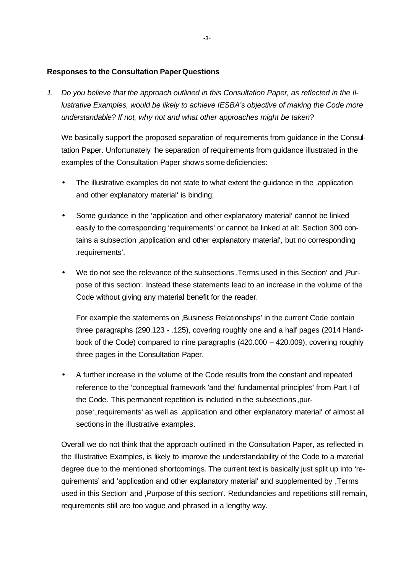## **Responses to the Consultation Paper Questions**

*1. Do you believe that the approach outlined in this Consultation Paper, as reflected in the Illustrative Examples, would be likely to achieve IESBA's objective of making the Code more understandable? If not, why not and what other approaches might be taken?* 

We basically support the proposed separation of requirements from guidance in the Consultation Paper. Unfortunately the separation of requirements from guidance illustrated in the examples of the Consultation Paper shows some deficiencies:

- The illustrative examples do not state to what extent the quidance in the application and other explanatory material' is binding;
- Some guidance in the 'application and other explanatory material' cannot be linked easily to the corresponding 'requirements' or cannot be linked at all: Section 300 contains a subsection , application and other explanatory material', but no corresponding 'requirements'.
- We do not see the relevance of the subsections . Terms used in this Section and . Purpose of this section'. Instead these statements lead to an increase in the volume of the Code without giving any material benefit for the reader.

For example the statements on Business Relationships' in the current Code contain three paragraphs (290.123 - .125), covering roughly one and a half pages (2014 Handbook of the Code) compared to nine paragraphs (420.000 – 420.009), covering roughly three pages in the Consultation Paper.

• A further increase in the volume of the Code results from the constant and repeated reference to the 'conceptual framework 'and the' fundamental principles' from Part I of the Code. This permanent repetition is included in the subsections ,purpose', requirements' as well as , application and other explanatory material' of almost all sections in the illustrative examples.

Overall we do not think that the approach outlined in the Consultation Paper, as reflected in the Illustrative Examples, is likely to improve the understandability of the Code to a material degree due to the mentioned shortcomings. The current text is basically just split up into 'requirements' and 'application and other explanatory material' and supplemented by 'Terms used in this Section' and , Purpose of this section'. Redundancies and repetitions still remain, requirements still are too vague and phrased in a lengthy way.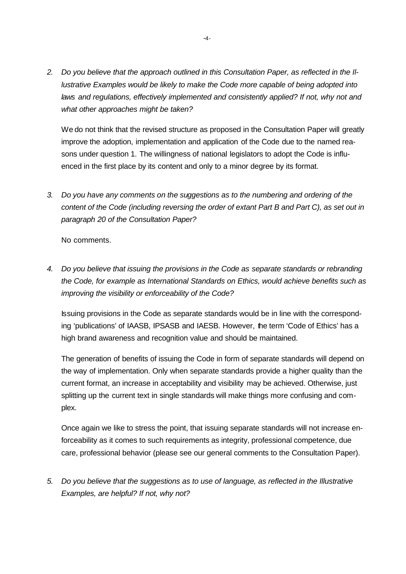*2. Do you believe that the approach outlined in this Consultation Paper, as reflected in the Illustrative Examples would be likely to make the Code more capable of being adopted into laws and regulations, effectively implemented and consistently applied? If not, why not and what other approaches might be taken?* 

We do not think that the revised structure as proposed in the Consultation Paper will greatly improve the adoption, implementation and application of the Code due to the named reasons under question 1. The willingness of national legislators to adopt the Code is influenced in the first place by its content and only to a minor degree by its format.

*3. Do you have any comments on the suggestions as to the numbering and ordering of the content of the Code (including reversing the order of extant Part B and Part C), as set out in paragraph 20 of the Consultation Paper?* 

No comments.

*4. Do you believe that issuing the provisions in the Code as separate standards or rebranding the Code, for example as International Standards on Ethics, would achieve benefits such as improving the visibility or enforceability of the Code?* 

Issuing provisions in the Code as separate standards would be in line with the corresponding 'publications' of IAASB, IPSASB and IAESB. However, the term 'Code of Ethics' has a high brand awareness and recognition value and should be maintained.

The generation of benefits of issuing the Code in form of separate standards will depend on the way of implementation. Only when separate standards provide a higher quality than the current format, an increase in acceptability and visibility may be achieved. Otherwise, just splitting up the current text in single standards will make things more confusing and complex.

Once again we like to stress the point, that issuing separate standards will not increase enforceability as it comes to such requirements as integrity, professional competence, due care, professional behavior (please see our general comments to the Consultation Paper).

*5. Do you believe that the suggestions as to use of language, as reflected in the Illustrative Examples, are helpful? If not, why not?*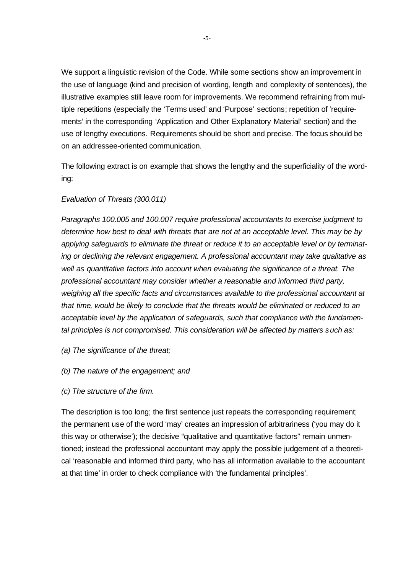We support a linguistic revision of the Code. While some sections show an improvement in the use of language (kind and precision of wording, length and complexity of sentences), the illustrative examples still leave room for improvements. We recommend refraining from multiple repetitions (especially the 'Terms used' and 'Purpose' sections; repetition of 'requirements' in the corresponding 'Application and Other Explanatory Material' section) and the use of lengthy executions. Requirements should be short and precise. The focus should be on an addressee-oriented communication.

The following extract is on example that shows the lengthy and the superficiality of the wording:

## *Evaluation of Threats (300.011)*

*Paragraphs 100.005 and 100.007 require professional accountants to exercise judgment to determine how best to deal with threats that are not at an acceptable level. This may be by applying safeguards to eliminate the threat or reduce it to an acceptable level or by terminating or declining the relevant engagement. A professional accountant may take qualitative as well as quantitative factors into account when evaluating the significance of a threat. The professional accountant may consider whether a reasonable and informed third party, weighing all the specific facts and circumstances available to the professional accountant at that time, would be likely to conclude that the threats would be eliminated or reduced to an acceptable level by the application of safeguards, such that compliance with the fundamental principles is not compromised. This consideration will be affected by matters such as:* 

- *(a) The significance of the threat;*
- *(b) The nature of the engagement; and*
- *(c) The structure of the firm.*

The description is too long; the first sentence just repeats the corresponding requirement; the permanent use of the word 'may' creates an impression of arbitrariness ('you may do it this way or otherwise'); the decisive "qualitative and quantitative factors" remain unmentioned; instead the professional accountant may apply the possible judgement of a theoretical 'reasonable and informed third party, who has all information available to the accountant at that time' in order to check compliance with 'the fundamental principles'.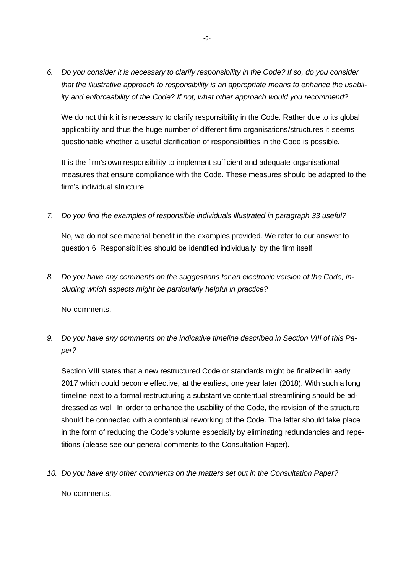*6. Do you consider it is necessary to clarify responsibility in the Code? If so, do you consider that the illustrative approach to responsibility is an appropriate means to enhance the usability and enforceability of the Code? If not, what other approach would you recommend?* 

We do not think it is necessary to clarify responsibility in the Code. Rather due to its global applicability and thus the huge number of different firm organisations/structures it seems questionable whether a useful clarification of responsibilities in the Code is possible.

It is the firm's own responsibility to implement sufficient and adequate organisational measures that ensure compliance with the Code. These measures should be adapted to the firm's individual structure.

*7. Do you find the examples of responsible individuals illustrated in paragraph 33 useful?* 

No, we do not see material benefit in the examples provided. We refer to our answer to question 6. Responsibilities should be identified individually by the firm itself.

*8. Do you have any comments on the suggestions for an electronic version of the Code, including which aspects might be particularly helpful in practice?* 

No comments.

*9. Do you have any comments on the indicative timeline described in Section VIII of this Paper?* 

Section VIII states that a new restructured Code or standards might be finalized in early 2017 which could become effective, at the earliest, one year later (2018). With such a long timeline next to a formal restructuring a substantive contentual streamlining should be addressed as well. In order to enhance the usability of the Code, the revision of the structure should be connected with a contentual reworking of the Code. The latter should take place in the form of reducing the Code's volume especially by eliminating redundancies and repetitions (please see our general comments to the Consultation Paper).

*10. Do you have any other comments on the matters set out in the Consultation Paper?* 

No comments.